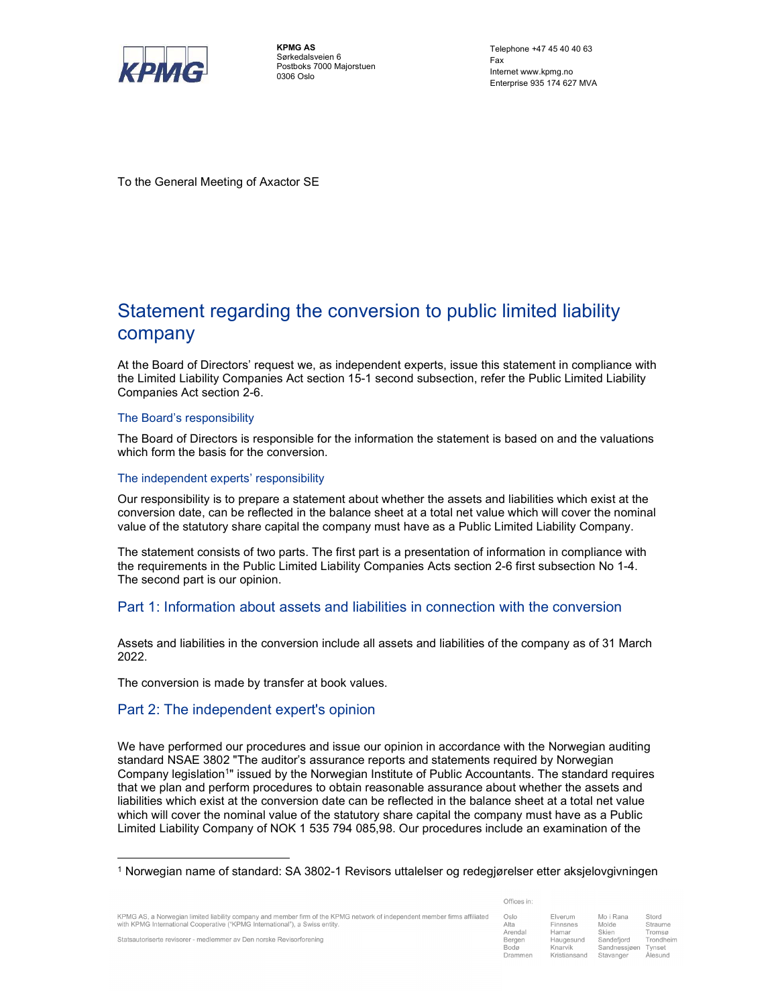

KPMG AS Sørkedalsveien 6 Postboks 7000 Majorstuen 0306 Oslo

Telephone +47 45 40 40 63 Fax and the state of the state of the state of the state of the state of the state of the state of the state of the state of the state of the state of the state of the state of the state of the state of the state of the st Internet www.kpmg.no Enterprise 935 174 627 MVA

To the General Meeting of Axactor SE

# Statement regarding the conversion to public limited liability company

At the Board of Directors' request we, as independent experts, issue this statement in compliance with the Limited Liability Companies Act section 15-1 second subsection, refer the Public Limited Liability Companies Act section 2-6.

### The Board's responsibility

The Board of Directors is responsible for the information the statement is based on and the valuations which form the basis for the conversion.

### The independent experts' responsibility

Our responsibility is to prepare a statement about whether the assets and liabilities which exist at the conversion date, can be reflected in the balance sheet at a total net value which will cover the nominal value of the statutory share capital the company must have as a Public Limited Liability Company.

The statement consists of two parts. The first part is a presentation of information in compliance with the requirements in the Public Limited Liability Companies Acts section 2-6 first subsection No 1-4. The second part is our opinion.

## Part 1: Information about assets and liabilities in connection with the conversion

Assets and liabilities in the conversion include all assets and liabilities of the company as of 31 March 2022.

The conversion is made by transfer at book values.

## Part 2: The independent expert's opinion

We have performed our procedures and issue our opinion in accordance with the Norwegian auditing standard NSAE 3802 "The auditor's assurance reports and statements required by Norwegian Company legislation1" issued by the Norwegian Institute of Public Accountants. The standard requires that we plan and perform procedures to obtain reasonable assurance about whether the assets and liabilities which exist at the conversion date can be reflected in the balance sheet at a total net value which will cover the nominal value of the statutory share capital the company must have as a Public Limited Liability Company of NOK 1 535 794 085,98. Our procedures include an examination of the 1

KPMG AS, a Norwegian limited liability company and member firm of the KPMG network of independent member firms affiliated with KPMG International Cooperative ("KPMG International"), a Swiss entity

| Offices in: |  |  |  |
|-------------|--|--|--|
|             |  |  |  |

| Oslo    | Elverum      | Mo i Rana    | Stord     |
|---------|--------------|--------------|-----------|
| Alta    | Finnsnes     | Molde        | Straume   |
| Arendal | Hamar        | Skien        | Tromsø    |
| Bergen  | Haugesund    | Sandefjord   | Trondheim |
| Bodø    | Knarvik      | Sandnessjøen | Tynset    |
| Drammen | Kristiansand | Stavanger    | Ålesund   |

Statsautoriserte revisorer - medlemmer av Den norske Revisorforening

Norwegian name of standard: SA 3802-1 Revisors uttalelser og redegjørelser etter aksjelovgivningen